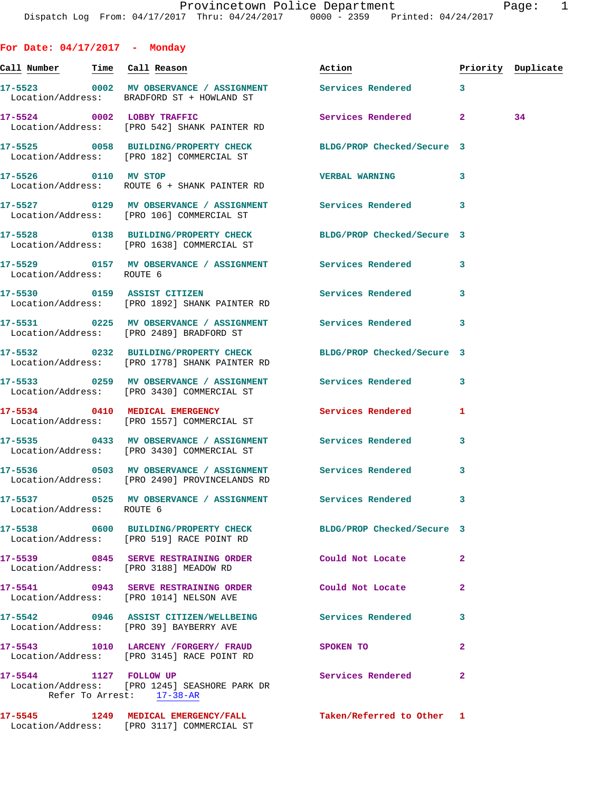**For Date: 04/17/2017 - Monday Call Number Time Call Reason Action Priority Duplicate 17-5523 0002 MV OBSERVANCE / ASSIGNMENT Services Rendered 3**  Location/Address: BRADFORD ST + HOWLAND ST **17-5524 0002 LOBBY TRAFFIC Services Rendered 2 34**  Location/Address: [PRO 542] SHANK PAINTER RD **17-5525 0058 BUILDING/PROPERTY CHECK BLDG/PROP Checked/Secure 3**  Location/Address: [PRO 182] COMMERCIAL ST **17-5526 0110 MV STOP VERBAL WARNING 3**  Location/Address: ROUTE 6 + SHANK PAINTER RD **17-5527 0129 MV OBSERVANCE / ASSIGNMENT Services Rendered 3**  Location/Address: [PRO 106] COMMERCIAL ST **17-5528 0138 BUILDING/PROPERTY CHECK BLDG/PROP Checked/Secure 3**  Location/Address: [PRO 1638] COMMERCIAL ST **17-5529 0157 MV OBSERVANCE / ASSIGNMENT Services Rendered 3**  Location/Address: ROUTE 6 **17-5530 0159 ASSIST CITIZEN Services Rendered 3**  Location/Address: [PRO 1892] SHANK PAINTER RD **17-5531 0225 MV OBSERVANCE / ASSIGNMENT Services Rendered 3**  Location/Address: [PRO 2489] BRADFORD ST **17-5532 0232 BUILDING/PROPERTY CHECK BLDG/PROP Checked/Secure 3**  Location/Address: [PRO 1778] SHANK PAINTER RD **17-5533 0259 MV OBSERVANCE / ASSIGNMENT Services Rendered 3**  Location/Address: [PRO 3430] COMMERCIAL ST **17-5534 0410 MEDICAL EMERGENCY Services Rendered 1**  Location/Address: [PRO 1557] COMMERCIAL ST **17-5535 0433 MV OBSERVANCE / ASSIGNMENT Services Rendered 3**  Location/Address: [PRO 3430] COMMERCIAL ST **17-5536 0503 MV OBSERVANCE / ASSIGNMENT Services Rendered 3**  Location/Address: [PRO 2490] PROVINCELANDS RD **17-5537 0525 MV OBSERVANCE / ASSIGNMENT Services Rendered 3**  Location/Address: ROUTE 6 **17-5538 0600 BUILDING/PROPERTY CHECK BLDG/PROP Checked/Secure 3**  Location/Address: [PRO 519] RACE POINT RD **17-5539 0845 SERVE RESTRAINING ORDER Could Not Locate 2**  Location/Address: [PRO 3188] MEADOW RD **17-5541 0943 SERVE RESTRAINING ORDER Could Not Locate 2**  Location/Address: [PRO 1014] NELSON AVE **17-5542 0946 ASSIST CITIZEN/WELLBEING Services Rendered 3**  Location/Address: [PRO 39] BAYBERRY AVE **17-5543 1010 LARCENY /FORGERY/ FRAUD SPOKEN TO 2**  Location/Address: [PRO 3145] RACE POINT RD

**17-5544 1127 FOLLOW UP Services Rendered 2**  Location/Address: [PRO 1245] SEASHORE PARK DR Refer To Arrest: 17-38-AR

**17-5545 1249 MEDICAL EMERGENCY/FALL Taken/Referred to Other 1**  Location/Address: [PRO 3117] COMMERCIAL ST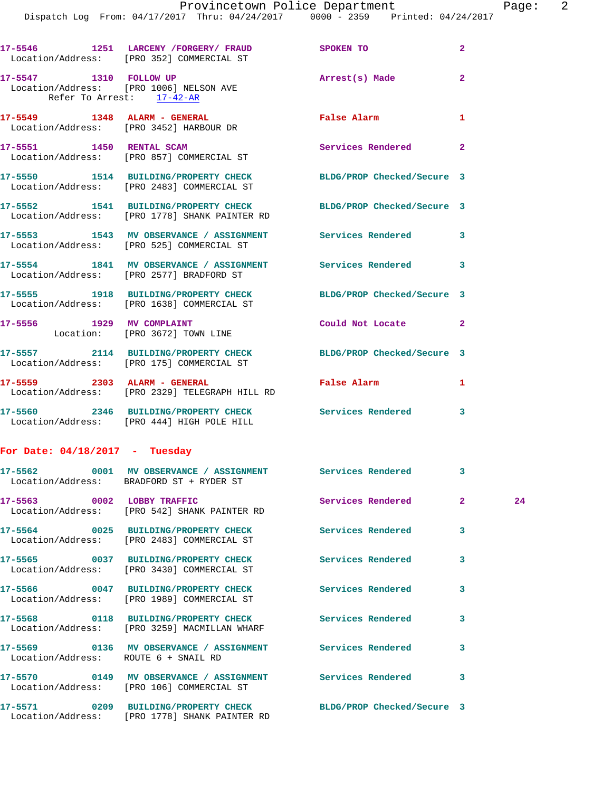|                                      | 17-5546 1251 LARCENY / FORGERY / FRAUD SPOKEN TO<br>Location/Address: [PRO 352] COMMERCIAL ST                    |                            | $\overline{a}$ |    |
|--------------------------------------|------------------------------------------------------------------------------------------------------------------|----------------------------|----------------|----|
| Refer To Arrest: 17-42-AR            | 17-5547 1310 FOLLOW UP<br>Location/Address: [PRO 1006] NELSON AVE                                                | Arrest(s) Made             | $\overline{2}$ |    |
|                                      | 17-5549 1348 ALARM - GENERAL<br>Location/Address: [PRO 3452] HARBOUR DR                                          | False Alarm                | 1              |    |
|                                      | 17-5551 1450 RENTAL SCAM<br>Location/Address: [PRO 857] COMMERCIAL ST                                            | Services Rendered          | $\overline{2}$ |    |
|                                      | 17-5550 1514 BUILDING/PROPERTY CHECK BLDG/PROP Checked/Secure 3<br>Location/Address: [PRO 2483] COMMERCIAL ST    |                            |                |    |
|                                      | 17-5552 1541 BUILDING/PROPERTY CHECK BLDG/PROP Checked/Secure 3<br>Location/Address: [PRO 1778] SHANK PAINTER RD |                            |                |    |
|                                      | 17-5553 1543 MV OBSERVANCE / ASSIGNMENT Services Rendered 3<br>Location/Address: [PRO 525] COMMERCIAL ST         |                            |                |    |
|                                      | 17-5554 1841 MV OBSERVANCE / ASSIGNMENT Services Rendered<br>Location/Address: [PRO 2577] BRADFORD ST            |                            | 3              |    |
|                                      | 17-5555 1918 BUILDING/PROPERTY CHECK BLDG/PROP Checked/Secure 3<br>Location/Address: [PRO 1638] COMMERCIAL ST    |                            |                |    |
|                                      | 17-5556 1929 MV COMPLAINT<br>Location: [PRO 3672] TOWN LINE                                                      | Could Not Locate           | $\mathbf{2}$   |    |
|                                      | 17-5557 2114 BUILDING/PROPERTY CHECK BLDG/PROP Checked/Secure 3<br>Location/Address: [PRO 175] COMMERCIAL ST     |                            |                |    |
|                                      | 17-5559 2303 ALARM - GENERAL<br>Location/Address: [PRO 2329] TELEGRAPH HILL RD                                   | False Alarm                | 1              |    |
|                                      | 17-5560 2346 BUILDING/PROPERTY CHECK Services Rendered<br>Location/Address: [PRO 444] HIGH POLE HILL             |                            | 3              |    |
| For Date: $04/18/2017$ - Tuesday     |                                                                                                                  |                            |                |    |
|                                      | 17-5562 0001 MV OBSERVANCE / ASSIGNMENT Services Rendered<br>Location/Address: BRADFORD ST + RYDER ST            |                            | 3              |    |
|                                      | 17-5563 0002 LOBBY TRAFFIC<br>Location/Address: [PRO 542] SHANK PAINTER RD                                       | Services Rendered          | $\mathbf{2}$   | 24 |
|                                      | 17-5564 0025 BUILDING/PROPERTY CHECK<br>Location/Address: [PRO 2483] COMMERCIAL ST                               | Services Rendered          | 3              |    |
|                                      | 17-5565 0037 BUILDING/PROPERTY CHECK<br>Location/Address: [PRO 3430] COMMERCIAL ST                               | <b>Services Rendered</b>   | 3              |    |
|                                      | 17-5566 0047 BUILDING/PROPERTY CHECK<br>Location/Address: [PRO 1989] COMMERCIAL ST                               | <b>Services Rendered</b>   | 3              |    |
|                                      | 17-5568 0118 BUILDING/PROPERTY CHECK<br>Location/Address: [PRO 3259] MACMILLAN WHARF                             | <b>Services Rendered</b>   | 3              |    |
| Location/Address: ROUTE 6 + SNAIL RD | 17-5569 0136 MV OBSERVANCE / ASSIGNMENT Services Rendered                                                        |                            | 3              |    |
|                                      | 17-5570 0149 MV OBSERVANCE / ASSIGNMENT Services Rendered<br>Location/Address: [PRO 106] COMMERCIAL ST           |                            | 3              |    |
|                                      | 17-5571 0209 BUILDING/PROPERTY CHECK<br>Location/Address: [PRO 1778] SHANK PAINTER RD                            | BLDG/PROP Checked/Secure 3 |                |    |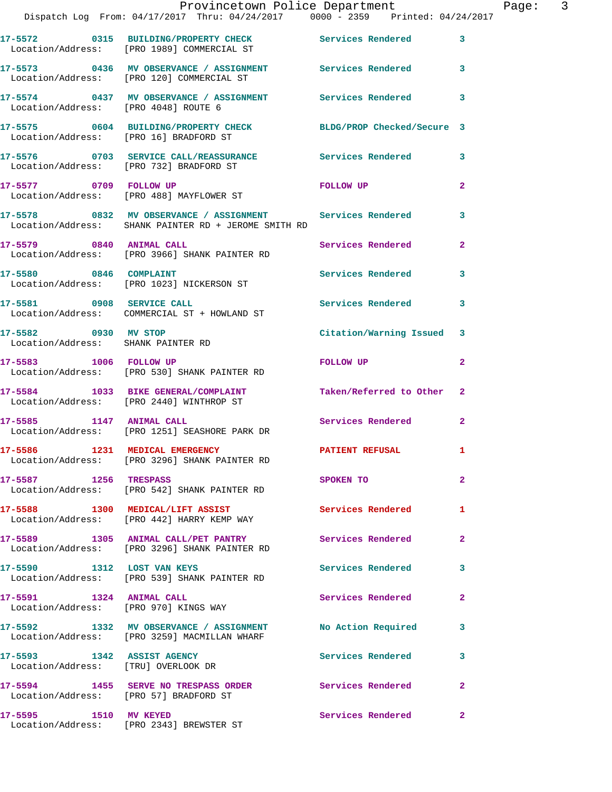|                                                                   | Provincetown Police Department<br>Dispatch Log From: 04/17/2017 Thru: 04/24/2017 0000 - 2359 Printed: 04/24/2017                |                           |                |
|-------------------------------------------------------------------|---------------------------------------------------------------------------------------------------------------------------------|---------------------------|----------------|
|                                                                   | 17-5572 0315 BUILDING/PROPERTY CHECK Services Rendered 3<br>Location/Address: [PRO 1989] COMMERCIAL ST                          |                           |                |
|                                                                   | 17-5573 0436 MV OBSERVANCE / ASSIGNMENT Services Rendered 3<br>Location/Address: [PRO 120] COMMERCIAL ST                        |                           |                |
|                                                                   | 17-5574 0437 MV OBSERVANCE / ASSIGNMENT Services Rendered<br>Location/Address: [PRO 4048] ROUTE 6                               |                           | 3              |
| Location/Address: [PRO 16] BRADFORD ST                            | 17-5575 0604 BUILDING/PROPERTY CHECK BLDG/PROP Checked/Secure 3                                                                 |                           |                |
|                                                                   | 17-5576 0703 SERVICE CALL/REASSURANCE Services Rendered 3<br>Location/Address: [PRO 732] BRADFORD ST                            |                           |                |
|                                                                   | 17-5577 0709 FOLLOW UP<br>Location/Address: [PRO 488] MAYFLOWER ST                                                              | FOLLOW UP                 | $\mathbf{2}$   |
|                                                                   | 17-5578      0832   MV OBSERVANCE / ASSIGNMENT      Services Rendered<br>Location/Address:   SHANK PAINTER RD + JEROME SMITH RD |                           | 3              |
| 17-5579 0840 ANIMAL CALL                                          | Location/Address: [PRO 3966] SHANK PAINTER RD                                                                                   | Services Rendered         | $\mathbf{2}$   |
|                                                                   | 17-5580 0846 COMPLAINT<br>Location/Address: [PRO 1023] NICKERSON ST                                                             | Services Rendered         | $\mathbf{3}$   |
|                                                                   | 17-5581 0908 SERVICE CALL<br>Location/Address: COMMERCIAL ST + HOWLAND ST                                                       | <b>Services Rendered</b>  | 3              |
| 17-5582 0930 MV STOP<br>Location/Address: SHANK PAINTER RD        |                                                                                                                                 | Citation/Warning Issued 3 |                |
|                                                                   | 17-5583 1006 FOLLOW UP<br>Location/Address: [PRO 530] SHANK PAINTER RD                                                          | FOLLOW UP                 | $\mathbf{2}$   |
|                                                                   | 17-5584 1033 BIKE GENERAL/COMPLAINT Taken/Referred to Other 2<br>Location/Address: [PRO 2440] WINTHROP ST                       |                           |                |
|                                                                   | 17-5585 1147 ANIMAL CALL<br>Location/Address: [PRO 1251] SEASHORE PARK DR                                                       | Services Rendered         | $\mathbf{2}$   |
|                                                                   | 17-5586 1231 MEDICAL EMERGENCY<br>Location/Address: [PRO 3296] SHANK PAINTER RD                                                 | <b>PATIENT REFUSAL</b>    | $\mathbf{1}$   |
| 17-5587 1256 TRESPASS                                             | Location/Address: [PRO 542] SHANK PAINTER RD                                                                                    | SPOKEN TO                 | $\overline{2}$ |
|                                                                   | 17-5588 1300 MEDICAL/LIFT ASSIST<br>Location/Address: [PRO 442] HARRY KEMP WAY                                                  | Services Rendered         | 1              |
|                                                                   | 17-5589 1305 ANIMAL CALL/PET PANTRY<br>Location/Address: [PRO 3296] SHANK PAINTER RD                                            | Services Rendered         | $\mathbf{2}$   |
| 17-5590 1312 LOST VAN KEYS                                        | Location/Address: [PRO 539] SHANK PAINTER RD                                                                                    | Services Rendered         | $\mathbf{3}$   |
| 17-5591 1324 ANIMAL CALL                                          | Location/Address: [PRO 970] KINGS WAY                                                                                           | Services Rendered         | $\mathbf{2}$   |
|                                                                   | 17-5592 1332 MV OBSERVANCE / ASSIGNMENT No Action Required 3<br>Location/Address: [PRO 3259] MACMILLAN WHARF                    |                           |                |
| 17-5593 1342 ASSIST AGENCY<br>Location/Address: [TRU] OVERLOOK DR |                                                                                                                                 | <b>Services Rendered</b>  | 3              |
| Location/Address: [PRO 57] BRADFORD ST                            | 17-5594 1455 SERVE NO TRESPASS ORDER Services Rendered                                                                          |                           | $\mathbf{2}$   |
| 17-5595 1510 MV KEYED                                             |                                                                                                                                 | Services Rendered         | $\mathbf{2}$   |

Location/Address: [PRO 2343] BREWSTER ST

Page: 3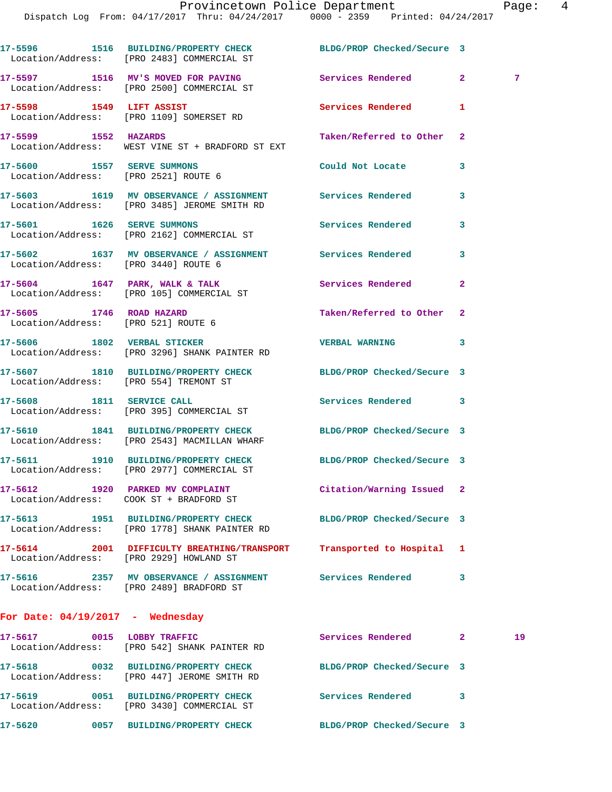**17-5596 1516 BUILDING/PROPERTY CHECK BLDG/PROP Checked/Secure 3**  Location/Address: [PRO 2483] COMMERCIAL ST 17-5597 1516 MV'S MOVED FOR PAVING **Services Rendered** 2 7 Location/Address: [PRO 2500] COMMERCIAL ST **17-5598 1549 LIFT ASSIST Services Rendered 1**  Location/Address: [PRO 1109] SOMERSET RD **17-5599 1552 HAZARDS Taken/Referred to Other 2**  Location/Address: WEST VINE ST + BRADFORD ST EXT **17-5600 1557 SERVE SUMMONS Could Not Locate 3**  Location/Address: [PRO 2521] ROUTE 6 **17-5603 1619 MV OBSERVANCE / ASSIGNMENT Services Rendered 3**  Location/Address: [PRO 3485] JEROME SMITH RD **17-5601 1626 SERVE SUMMONS Services Rendered 3**  Location/Address: [PRO 2162] COMMERCIAL ST **17-5602 1637 MV OBSERVANCE / ASSIGNMENT Services Rendered 3**  Location/Address: [PRO 3440] ROUTE 6 17-5604 1647 PARK, WALK & TALK **Services Rendered** 2 Location/Address: [PRO 105] COMMERCIAL ST **17-5605 1746 ROAD HAZARD Taken/Referred to Other 2**  Location/Address: [PRO 521] ROUTE 6 **17-5606 1802 VERBAL STICKER VERBAL WARNING 3**  Location/Address: [PRO 3296] SHANK PAINTER RD **17-5607 1810 BUILDING/PROPERTY CHECK BLDG/PROP Checked/Secure 3**  Location/Address: [PRO 554] TREMONT ST **17-5608 1811 SERVICE CALL Services Rendered 3**  Location/Address: [PRO 395] COMMERCIAL ST **17-5610 1841 BUILDING/PROPERTY CHECK BLDG/PROP Checked/Secure 3**  Location/Address: [PRO 2543] MACMILLAN WHARF **17-5611 1910 BUILDING/PROPERTY CHECK BLDG/PROP Checked/Secure 3**  Location/Address: [PRO 2977] COMMERCIAL ST **17-5612 1920 PARKED MV COMPLAINT Citation/Warning Issued 2**  Location/Address: COOK ST + BRADFORD ST **17-5613 1951 BUILDING/PROPERTY CHECK BLDG/PROP Checked/Secure 3**  Location/Address: [PRO 1778] SHANK PAINTER RD **17-5614 2001 DIFFICULTY BREATHING/TRANSPORT Transported to Hospital 1**  Location/Address: [PRO 2929] HOWLAND ST **17-5616 2357 MV OBSERVANCE / ASSIGNMENT Services Rendered 3**  Location/Address: [PRO 2489] BRADFORD ST **For Date: 04/19/2017 - Wednesday 17-5617 0015 LOBBY TRAFFIC Services Rendered 2 19**  Location/Address: [PRO 542] SHANK PAINTER RD **17-5618 0032 BUILDING/PROPERTY CHECK BLDG/PROP Checked/Secure 3**  Location/Address: [PRO 447] JEROME SMITH RD

**17-5619 0051 BUILDING/PROPERTY CHECK Services Rendered 3** 

**17-5620 0057 BUILDING/PROPERTY CHECK BLDG/PROP Checked/Secure 3** 

Location/Address: [PRO 3430] COMMERCIAL ST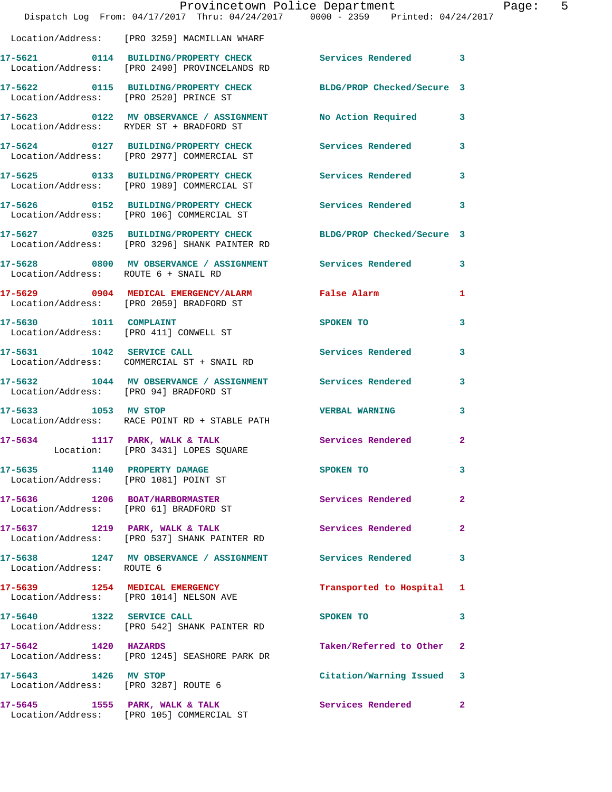|                                        | Dispatch Log From: 04/17/2017 Thru: 04/24/2017 0000 - 2359 Printed: 04/24/2017                            | Provincetown Police Department                                                                                                                                                                                                 | Page: 5      |
|----------------------------------------|-----------------------------------------------------------------------------------------------------------|--------------------------------------------------------------------------------------------------------------------------------------------------------------------------------------------------------------------------------|--------------|
|                                        | Location/Address: [PRO 3259] MACMILLAN WHARF                                                              |                                                                                                                                                                                                                                |              |
|                                        | 17-5621 0114 BUILDING/PROPERTY CHECK Services Rendered 3<br>Location/Address: [PRO 2490] PROVINCELANDS RD |                                                                                                                                                                                                                                |              |
| Location/Address: [PRO 2520] PRINCE ST | 17-5622 0115 BUILDING/PROPERTY CHECK BLDG/PROP Checked/Secure 3                                           |                                                                                                                                                                                                                                |              |
|                                        | 17-5623 0122 MV OBSERVANCE / ASSIGNMENT No Action Required 3<br>Location/Address: RYDER ST + BRADFORD ST  |                                                                                                                                                                                                                                |              |
|                                        | 17-5624 0127 BUILDING/PROPERTY CHECK<br>Location/Address: [PRO 2977] COMMERCIAL ST                        | Services Rendered 3                                                                                                                                                                                                            |              |
|                                        | 17-5625 0133 BUILDING/PROPERTY CHECK<br>Location/Address: [PRO 1989] COMMERCIAL ST                        | Services Rendered 3                                                                                                                                                                                                            |              |
|                                        | 17-5626      0152   BUILDING/PROPERTY CHECK<br>Location/Address:   [PRO 106] COMMERCIAL ST                | Services Rendered 3                                                                                                                                                                                                            |              |
|                                        | 17-5627 0325 BUILDING/PROPERTY CHECK<br>Location/Address: [PRO 3296] SHANK PAINTER RD                     | BLDG/PROP Checked/Secure 3                                                                                                                                                                                                     |              |
| Location/Address: ROUTE 6 + SNAIL RD   | 17-5628 0800 MV OBSERVANCE / ASSIGNMENT Services Rendered 3                                               |                                                                                                                                                                                                                                |              |
|                                        | 17-5629 0904 MEDICAL EMERGENCY/ALARM False Alarm<br>Location/Address: [PRO 2059] BRADFORD ST              |                                                                                                                                                                                                                                | 1            |
|                                        | 17-5630 1011 COMPLAINT<br>Location/Address: [PRO 411] CONWELL ST                                          | <b>SPOKEN TO</b>                                                                                                                                                                                                               | 3            |
|                                        | 17-5631 1042 SERVICE CALL<br>Location/Address: COMMERCIAL ST + SNAIL RD                                   | Services Rendered                                                                                                                                                                                                              | 3            |
| Location/Address: [PRO 94] BRADFORD ST | 17-5632 1044 MV OBSERVANCE / ASSIGNMENT Services Rendered 3                                               |                                                                                                                                                                                                                                |              |
| 17-5633 1053 MV STOP                   | Location/Address: RACE POINT RD + STABLE PATH                                                             | <b>VERBAL WARNING</b>                                                                                                                                                                                                          | 3            |
| 17-5634 1117 PARK, WALK & TALK         | Location: [PRO 3431] LOPES SQUARE                                                                         | Services Rendered 2                                                                                                                                                                                                            |              |
|                                        | 17-5635 1140 PROPERTY DAMAGE<br>Location/Address: [PRO 1081] POINT ST                                     | SPOKEN TO THE SPOKEN OF THE SPOKEN OF THE SPOKEN OF THE SPOKEN OF THE SPOKEN OF THE SPOKEN OF THE SPOKEN OF THE SPOKEN OF THE SPOKEN OF THE SPOKEN OF THE SPOKEN OF THE SPOKEN OF THE SPOKEN OF THE SPOKEN OF THE SPOKEN OF TH | 3            |
|                                        | 17-5636 1206 BOAT/HARBORMASTER<br>Location/Address: [PRO 61] BRADFORD ST                                  | Services Rendered                                                                                                                                                                                                              | $\mathbf{2}$ |
|                                        | 17-5637 1219 PARK, WALK & TALK<br>Location/Address: [PRO 537] SHANK PAINTER RD                            | Services Rendered                                                                                                                                                                                                              | $\mathbf{2}$ |
| Location/Address: ROUTE 6              | 17-5638 1247 MV OBSERVANCE / ASSIGNMENT Services Rendered                                                 |                                                                                                                                                                                                                                | 3            |
|                                        | 17-5639 1254 MEDICAL EMERGENCY<br>Location/Address: [PRO 1014] NELSON AVE                                 | Transported to Hospital 1                                                                                                                                                                                                      |              |
|                                        | 17-5640 1322 SERVICE CALL<br>Location/Address: [PRO 542] SHANK PAINTER RD                                 | SPOKEN TO                                                                                                                                                                                                                      | 3            |
| 17-5642 1420 HAZARDS                   | Location/Address: [PRO 1245] SEASHORE PARK DR                                                             | Taken/Referred to Other 2                                                                                                                                                                                                      |              |
| 17-5643 1426 MV STOP                   | Location/Address: [PRO 3287] ROUTE 6                                                                      | Citation/Warning Issued 3                                                                                                                                                                                                      |              |
|                                        | 17-5645 1555 PARK, WALK & TALK<br>Location/Address: [PRO 105] COMMERCIAL ST                               | Services Rendered                                                                                                                                                                                                              | $\mathbf{2}$ |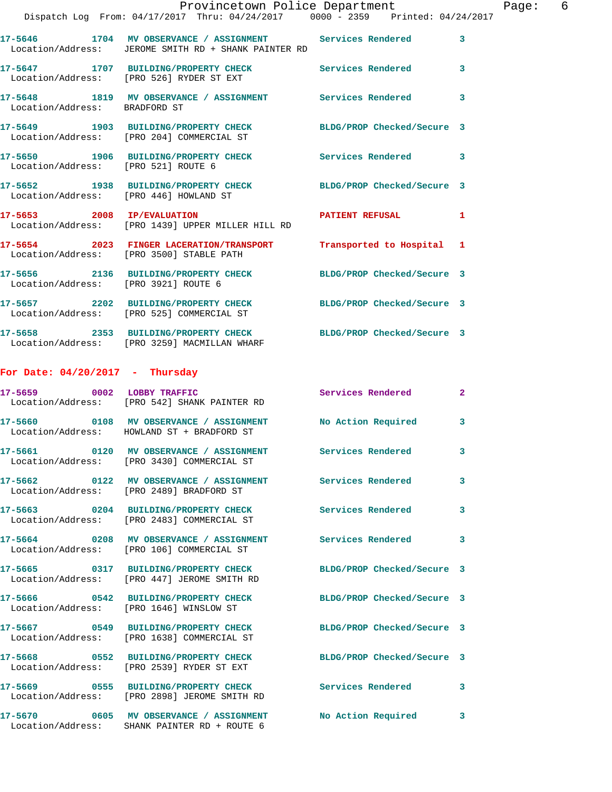|                                     | Provincetown Police Department<br>Dispatch Log From: 04/17/2017 Thru: 04/24/2017 0000 - 2359 Printed: 04/24/2017  |                            |                |
|-------------------------------------|-------------------------------------------------------------------------------------------------------------------|----------------------------|----------------|
|                                     | 17-5646 1704 MV OBSERVANCE / ASSIGNMENT Services Rendered<br>Location/Address: JEROME SMITH RD + SHANK PAINTER RD |                            | 3              |
|                                     | 17-5647 1707 BUILDING/PROPERTY CHECK Services Rendered<br>Location/Address: [PRO 526] RYDER ST EXT                |                            | 3              |
|                                     | 17-5648 1819 MV OBSERVANCE / ASSIGNMENT Services Rendered<br>Location/Address: BRADFORD ST                        |                            | 3              |
|                                     | 17-5649 1903 BUILDING/PROPERTY CHECK BLDG/PROP Checked/Secure 3<br>Location/Address: [PRO 204] COMMERCIAL ST      |                            |                |
| Location/Address: [PRO 521] ROUTE 6 | 17-5650 1906 BUILDING/PROPERTY CHECK Services Rendered                                                            |                            | 3              |
|                                     | 17-5652 1938 BUILDING/PROPERTY CHECK BLDG/PROP Checked/Secure 3<br>Location/Address: [PRO 446] HOWLAND ST         |                            |                |
|                                     | 17-5653 2008 IP/EVALUATION PATIENT REFUSAL<br>Location/Address: [PRO 1439] UPPER MILLER HILL RD                   |                            | 1              |
|                                     | 17-5654 2023 FINGER LACERATION/TRANSPORT Transported to Hospital 1<br>Location/Address: [PRO 3500] STABLE PATH    |                            |                |
|                                     | 17-5656 2136 BUILDING/PROPERTY CHECK BLDG/PROP Checked/Secure 3<br>Location/Address: [PRO 3921] ROUTE 6           |                            |                |
|                                     | 17-5657 2202 BUILDING/PROPERTY CHECK BLDG/PROP Checked/Secure 3<br>Location/Address: [PRO 525] COMMERCIAL ST      |                            |                |
|                                     | 17-5658 2353 BUILDING/PROPERTY CHECK BLDG/PROP Checked/Secure 3<br>Location/Address: [PRO 3259] MACMILLAN WHARF   |                            |                |
| For Date: $04/20/2017$ - Thursday   |                                                                                                                   |                            |                |
|                                     | 17-5659 0002 LOBBY TRAFFIC<br>Location/Address: [PRO 542] SHANK PAINTER RD                                        | Services Rendered          | $\overline{2}$ |
|                                     | 17-5660 0108 MV OBSERVANCE / ASSIGNMENT No Action Required<br>Location/Address: HOWLAND ST + BRADFORD ST          |                            | 3              |
|                                     | 17-5661 0120 MV OBSERVANCE / ASSIGNMENT<br>Location/Address: [PRO 3430] COMMERCIAL ST                             | Services Rendered          | 3              |
|                                     | 17-5662 0122 MV OBSERVANCE / ASSIGNMENT Services Rendered<br>Location/Address: [PRO 2489] BRADFORD ST             |                            | 3              |
|                                     | 17-5663 0204 BUILDING/PROPERTY CHECK<br>Location/Address: [PRO 2483] COMMERCIAL ST                                | Services Rendered          | 3              |
|                                     | 17-5664 0208 MV OBSERVANCE / ASSIGNMENT Services Rendered<br>Location/Address: [PRO 106] COMMERCIAL ST            |                            | 3              |
|                                     | 17-5665 0317 BUILDING/PROPERTY CHECK<br>Location/Address: [PRO 447] JEROME SMITH RD                               | BLDG/PROP Checked/Secure 3 |                |
|                                     | 17-5666 0542 BUILDING/PROPERTY CHECK BLDG/PROP Checked/Secure 3<br>Location/Address: [PRO 1646] WINSLOW ST        |                            |                |
|                                     | 17-5667 0549 BUILDING/PROPERTY CHECK<br>Location/Address: [PRO 1638] COMMERCIAL ST                                | BLDG/PROP Checked/Secure 3 |                |
|                                     | 17-5668 0552 BUILDING/PROPERTY CHECK<br>Location/Address: [PRO 2539] RYDER ST EXT                                 | BLDG/PROP Checked/Secure 3 |                |
|                                     | 17-5669 0555 BUILDING/PROPERTY CHECK<br>Location/Address: [PRO 2898] JEROME SMITH RD                              | Services Rendered          | 3              |
|                                     | 17-5670 0605 MV OBSERVANCE / ASSIGNMENT<br>Location/Address: SHANK PAINTER RD + ROUTE 6                           | No Action Required         | 3              |

Page: 6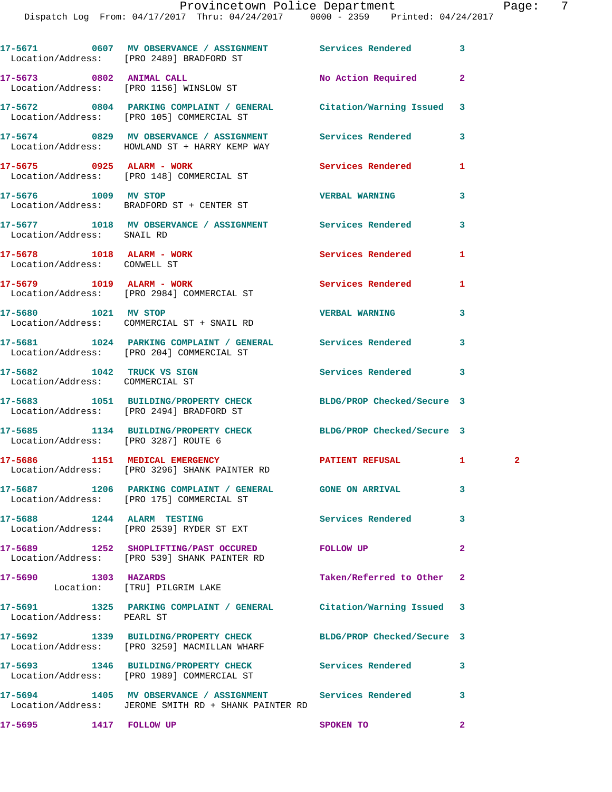## Provincetown Police Department Page: 7

Dispatch Log From: 04/17/2017 Thru: 04/24/2017 0000 - 2359 Printed: 04/24/2017

**17-5671 0607 MV OBSERVANCE / ASSIGNMENT Services Rendered 3**  Location/Address: [PRO 2489] BRADFORD ST **17-5673 0802 ANIMAL CALL No Action Required 2**  Location/Address: [PRO 1156] WINSLOW ST **17-5672 0804 PARKING COMPLAINT / GENERAL Citation/Warning Issued 3**  Location/Address: [PRO 105] COMMERCIAL ST **17-5674 0829 MV OBSERVANCE / ASSIGNMENT Services Rendered 3**  Location/Address: HOWLAND ST + HARRY KEMP WAY **17-5675 0925 ALARM - WORK Services Rendered 1**  Location/Address: [PRO 148] COMMERCIAL ST **17-5676 1009 MV STOP VERBAL WARNING 3**  Location/Address: BRADFORD ST + CENTER ST **17-5677 1018 MV OBSERVANCE / ASSIGNMENT Services Rendered 3**  Location/Address: SNAIL RD **17-5678 1018 ALARM - WORK Services Rendered 1**  Location/Address: CONWELL ST **17-5679 1019 ALARM - WORK Services Rendered 1**  Location/Address: [PRO 2984] COMMERCIAL ST **17-5680 1021 MV STOP VERBAL WARNING 3**  Location/Address: COMMERCIAL ST + SNAIL RD **17-5681 1024 PARKING COMPLAINT / GENERAL Services Rendered 3**  Location/Address: [PRO 204] COMMERCIAL ST 17-5682 1042 TRUCK VS SIGN 3 Location/Address: COMMERCIAL ST **17-5683 1051 BUILDING/PROPERTY CHECK BLDG/PROP Checked/Secure 3**  Location/Address: [PRO 2494] BRADFORD ST **17-5685 1134 BUILDING/PROPERTY CHECK BLDG/PROP Checked/Secure 3**  Location/Address: [PRO 3287] ROUTE 6 **17-5686 1151 MEDICAL EMERGENCY PATIENT REFUSAL 1 2**  Location/Address: [PRO 3296] SHANK PAINTER RD **17-5687 1206 PARKING COMPLAINT / GENERAL GONE ON ARRIVAL 3**  Location/Address: [PRO 175] COMMERCIAL ST **17-5688 1244 ALARM TESTING Services Rendered 3**  Location/Address: [PRO 2539] RYDER ST EXT **17-5689 1252 SHOPLIFTING/PAST OCCURED FOLLOW UP 2**  Location/Address: [PRO 539] SHANK PAINTER RD **17-5690 1303 HAZARDS Taken/Referred to Other 2**  Location: [TRU] PILGRIM LAKE **17-5691 1325 PARKING COMPLAINT / GENERAL Citation/Warning Issued 3**  Location/Address: PEARL ST **17-5692 1339 BUILDING/PROPERTY CHECK BLDG/PROP Checked/Secure 3**  Location/Address: [PRO 3259] MACMILLAN WHARF **17-5693 1346 BUILDING/PROPERTY CHECK Services Rendered 3**  Location/Address: [PRO 1989] COMMERCIAL ST **17-5694 1405 MV OBSERVANCE / ASSIGNMENT Services Rendered 3**  Location/Address: JEROME SMITH RD + SHANK PAINTER RD **17-5695 1417 FOLLOW UP SPOKEN TO 2**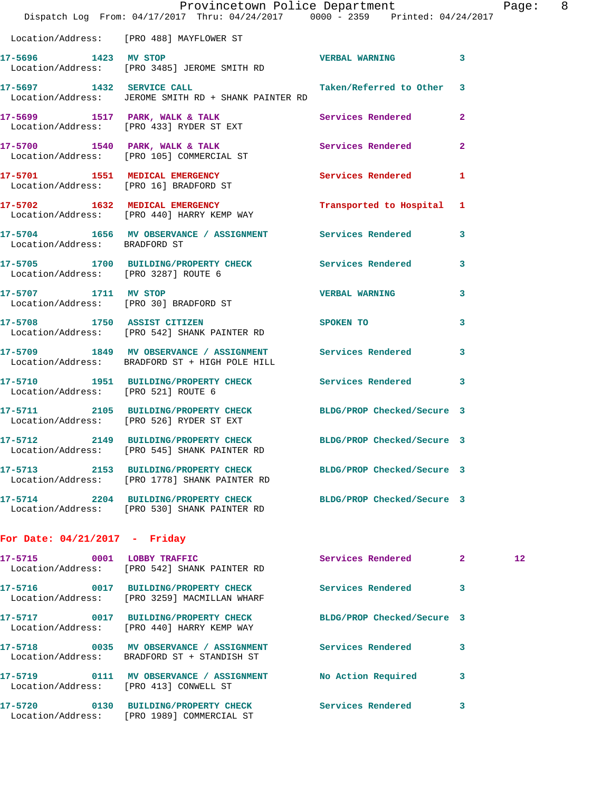|                                      | Provincetown Police Department<br>Dispatch Log From: 04/17/2017 Thru: 04/24/2017 0000 - 2359 Printed: 04/24/2017 |                         |              | Page: 8      |  |
|--------------------------------------|------------------------------------------------------------------------------------------------------------------|-------------------------|--------------|--------------|--|
|                                      | Location/Address: [PRO 488] MAYFLOWER ST                                                                         |                         |              |              |  |
| 17-5696 1423 MV STOP                 | Location/Address: [PRO 3485] JEROME SMITH RD                                                                     | <b>VERBAL WARNING</b> 3 |              |              |  |
|                                      | 17-5697 1432 SERVICE CALL Taken/Referred to Other 3<br>Location/Address: JEROME SMITH RD + SHANK PAINTER RD      |                         |              |              |  |
|                                      | 17-5699 1517 PARK, WALK & TALK 1999 Services Rendered 2<br>Location/Address: [PRO 433] RYDER ST EXT              |                         |              |              |  |
|                                      | 17-5700 1540 PARK, WALK & TALK Services Rendered 2<br>Location/Address: [PRO 105] COMMERCIAL ST                  |                         |              |              |  |
|                                      | 17-5701 1551 MEDICAL EMERGENCY Services Rendered 1<br>Location/Address: [PRO 16] BRADFORD ST                     |                         |              |              |  |
|                                      | 17-5702 1632 MEDICAL EMERGENCY Transported to Hospital 1<br>Location/Address: [PRO 440] HARRY KEMP WAY           |                         |              |              |  |
| Location/Address: BRADFORD ST        | 17-5704 1656 MV OBSERVANCE / ASSIGNMENT Services Rendered                                                        |                         | $\mathbf{3}$ |              |  |
| Location/Address: [PRO 3287] ROUTE 6 | 17-5705 1700 BUILDING/PROPERTY CHECK Services Rendered 3                                                         |                         |              |              |  |
|                                      | 17-5707 1711 MV STOP<br>Location/Address: [PRO 30] BRADFORD ST                                                   | <b>VERBAL WARNING</b>   | 3            |              |  |
|                                      | 17-5708 1750 ASSIST CITIZEN SPOKEN TO<br>Location/Address: [PRO 542] SHANK PAINTER RD                            |                         | 3            |              |  |
|                                      | 17-5709 1849 MV OBSERVANCE / ASSIGNMENT Services Rendered<br>Location/Address: BRADFORD ST + HIGH POLE HILL      |                         | 3            |              |  |
| Location/Address: [PRO 521] ROUTE 6  | 17-5710 1951 BUILDING/PROPERTY CHECK Services Rendered 3                                                         |                         |              |              |  |
|                                      | 17-5711 2105 BUILDING/PROPERTY CHECK BLDG/PROP Checked/Secure 3<br>Location/Address: [PRO 526] RYDER ST EXT      |                         |              |              |  |
|                                      | 17-5712 2149 BUILDING/PROPERTY CHECK BLDG/PROP Checked/Secure 3<br>Location/Address: [PRO 545] SHANK PAINTER RD  |                         |              |              |  |
|                                      | 17-5713 2153 BUILDING/PROPERTY CHECK BLDG/PROP Checked/Secure 3<br>Location/Address: [PRO 1778] SHANK PAINTER RD |                         |              |              |  |
|                                      | 17-5714 2204 BUILDING/PROPERTY CHECK BLDG/PROP Checked/Secure 3<br>Location/Address: [PRO 530] SHANK PAINTER RD  |                         |              |              |  |
| For Date: $04/21/2017$ - Friday      |                                                                                                                  |                         |              |              |  |
|                                      | 17-5715 0001 LOBBY TRAFFIC<br>Location/Address: [PRO 542] SHANK PAINTER RD                                       | Services Rendered 2     |              | $12^{\circ}$ |  |
|                                      | 17-5716 0017 BUILDING/PROPERTY CHECK Services Rendered<br>Location/Address: [PRO 3259] MACMILLAN WHARF           |                         | 3            |              |  |
|                                      | 17-5717 0017 BUILDING/PROPERTY CHECK BLDG/PROP Checked/Secure 3<br>Location/Address: [PRO 440] HARRY KEMP WAY    |                         |              |              |  |
|                                      | 17-5718 0035 MV OBSERVANCE / ASSIGNMENT Services Rendered<br>Location/Address: BRADFORD ST + STANDISH ST         |                         | 3            |              |  |
|                                      | 17-5719 0111 MV OBSERVANCE / ASSIGNMENT No Action Required<br>Location/Address: [PRO 413] CONWELL ST             |                         | 3            |              |  |
|                                      | 17-5720 0130 BUILDING/PROPERTY CHECK Services Rendered<br>Location/Address: [PRO 1989] COMMERCIAL ST             |                         | 3            |              |  |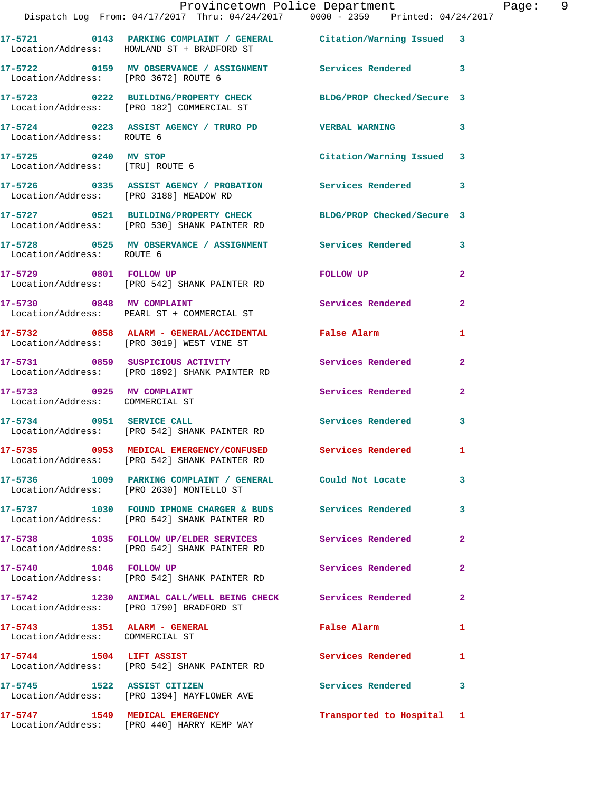|                                                                 | Provincetown Police Department<br>Dispatch Log From: 04/17/2017 Thru: 04/24/2017 0000 - 2359 Printed: 04/24/2017 |                           |                |
|-----------------------------------------------------------------|------------------------------------------------------------------------------------------------------------------|---------------------------|----------------|
|                                                                 | 17-5721 0143 PARKING COMPLAINT / GENERAL Citation/Warning Issued 3<br>Location/Address: HOWLAND ST + BRADFORD ST |                           |                |
| Location/Address: [PRO 3672] ROUTE 6                            | 17-5722 0159 MV OBSERVANCE / ASSIGNMENT Services Rendered                                                        |                           | 3              |
|                                                                 | 17-5723 0222 BUILDING/PROPERTY CHECK BLDG/PROP Checked/Secure 3<br>Location/Address: [PRO 182] COMMERCIAL ST     |                           |                |
| Location/Address: ROUTE 6                                       | 17-5724 0223 ASSIST AGENCY / TRURO PD VERBAL WARNING                                                             |                           | 3              |
| 17-5725 0240 MV STOP<br>Location/Address: [TRU] ROUTE 6         |                                                                                                                  | Citation/Warning Issued   | 3              |
| Location/Address: [PRO 3188] MEADOW RD                          | 17-5726      0335 ASSIST AGENCY / PROBATION      Services Rendered                                               |                           | 3              |
|                                                                 | 17-5727 0521 BUILDING/PROPERTY CHECK BLDG/PROP Checked/Secure 3<br>Location/Address: [PRO 530] SHANK PAINTER RD  |                           |                |
| Location/Address: ROUTE 6                                       | 17-5728 0525 MV OBSERVANCE / ASSIGNMENT Services Rendered                                                        |                           | 3              |
| 17-5729 0801 FOLLOW UP                                          | Location/Address: [PRO 542] SHANK PAINTER RD                                                                     | FOLLOW UP                 | $\overline{a}$ |
|                                                                 | 17-5730 0848 MV COMPLAINT<br>Location/Address: PEARL ST + COMMERCIAL ST                                          | <b>Services Rendered</b>  | $\mathbf{2}$   |
|                                                                 | 17-5732 0858 ALARM - GENERAL/ACCIDENTAL False Alarm<br>Location/Address: [PRO 3019] WEST VINE ST                 |                           | 1              |
|                                                                 | 17-5731 0859 SUSPICIOUS ACTIVITY<br>Location/Address: [PRO 1892] SHANK PAINTER RD                                | <b>Services Rendered</b>  | $\mathbf{2}$   |
| 17-5733 0925 MV COMPLAINT<br>Location/Address: COMMERCIAL ST    |                                                                                                                  | <b>Services Rendered</b>  | $\mathbf{2}$   |
|                                                                 | 17-5734 0951 SERVICE CALL<br>Location/Address: [PRO 542] SHANK PAINTER RD                                        | <b>Services Rendered</b>  | 3              |
|                                                                 | 17-5735 0953 MEDICAL EMERGENCY/CONFUSED Services Rendered<br>Location/Address: [PRO 542] SHANK PAINTER RD        |                           |                |
|                                                                 | 17-5736 1009 PARKING COMPLAINT / GENERAL Could Not Locate<br>Location/Address: [PRO 2630] MONTELLO ST            |                           | 3              |
|                                                                 | 17-5737 1030 FOUND IPHONE CHARGER & BUDS Services Rendered<br>Location/Address: [PRO 542] SHANK PAINTER RD       |                           | 3              |
|                                                                 | 17-5738 1035 FOLLOW UP/ELDER SERVICES Services Rendered<br>Location/Address: [PRO 542] SHANK PAINTER RD          |                           | 2              |
| 17-5740 1046 FOLLOW UP                                          | Location/Address: [PRO 542] SHANK PAINTER RD                                                                     | Services Rendered         | $\mathbf{2}$   |
|                                                                 | 17-5742 1230 ANIMAL CALL/WELL BEING CHECK Services Rendered<br>Location/Address: [PRO 1790] BRADFORD ST          |                           | 2              |
| 17-5743 1351 ALARM - GENERAL<br>Location/Address: COMMERCIAL ST |                                                                                                                  | False Alarm               | 1              |
|                                                                 | 17-5744 1504 LIFT ASSIST<br>Location/Address: [PRO 542] SHANK PAINTER RD                                         | Services Rendered         | 1              |
| 17-5745 1522 ASSIST CITIZEN                                     | Location/Address: [PRO 1394] MAYFLOWER AVE                                                                       | Services Rendered         | 3              |
|                                                                 | 17-5747 1549 MEDICAL EMERGENCY<br>Location/Address: [PRO 440] HARRY KEMP WAY                                     | Transported to Hospital 1 |                |

Page: 9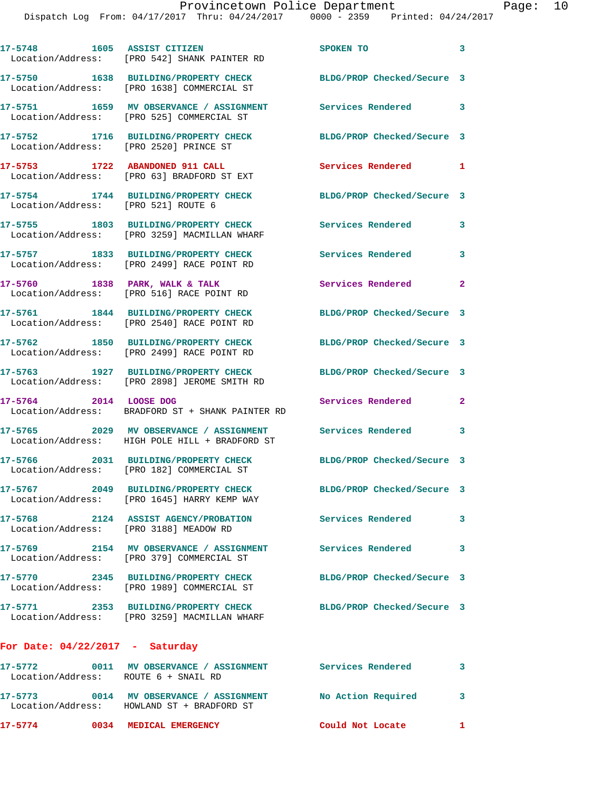| 17-5748 1605 ASSIST CITIZEN                       | Location/Address: [PRO 542] SHANK PAINTER RD                                              | SPOKEN TO                  | $\overline{\mathbf{3}}$ |
|---------------------------------------------------|-------------------------------------------------------------------------------------------|----------------------------|-------------------------|
|                                                   | 17-5750 1638 BUILDING/PROPERTY CHECK<br>Location/Address: [PRO 1638] COMMERCIAL ST        | BLDG/PROP Checked/Secure 3 |                         |
|                                                   | 17-5751 1659 MV OBSERVANCE / ASSIGNMENT<br>Location/Address: [PRO 525] COMMERCIAL ST      | <b>Services Rendered</b>   | 3                       |
| Location/Address: [PRO 2520] PRINCE ST            | 17-5752 1716 BUILDING/PROPERTY CHECK                                                      | BLDG/PROP Checked/Secure 3 |                         |
|                                                   | 17-5753 1722 ABANDONED 911 CALL<br>Location/Address: [PRO 63] BRADFORD ST EXT             | <b>Services Rendered</b>   | 1                       |
| Location/Address: [PRO 521] ROUTE 6               | 17-5754 1744 BUILDING/PROPERTY CHECK                                                      | BLDG/PROP Checked/Secure 3 |                         |
|                                                   | 17-5755 1803 BUILDING/PROPERTY CHECK<br>Location/Address: [PRO 3259] MACMILLAN WHARF      | Services Rendered          | 3                       |
| Location/Address:                                 | 17-5757 1833 BUILDING/PROPERTY CHECK<br>[PRO 2499] RACE POINT RD                          | Services Rendered          | 3                       |
|                                                   | $17-5760$ 1838 PARK, WALK & TALK<br>Location/Address: [PRO 516] RACE POINT RD             | Services Rendered 2        |                         |
|                                                   | 17-5761 1844 BUILDING/PROPERTY CHECK<br>Location/Address: [PRO 2540] RACE POINT RD        | BLDG/PROP Checked/Secure 3 |                         |
|                                                   | 17-5762 1850 BUILDING/PROPERTY CHECK<br>Location/Address: [PRO 2499] RACE POINT RD        | BLDG/PROP Checked/Secure 3 |                         |
|                                                   | 17-5763 1927 BUILDING/PROPERTY CHECK<br>Location/Address: [PRO 2898] JEROME SMITH RD      | BLDG/PROP Checked/Secure 3 |                         |
| 17-5764 2014 LOOSE DOG                            | Location/Address: BRADFORD ST + SHANK PAINTER RD                                          | Services Rendered          | $\mathbf{2}$            |
|                                                   | 17-5765 2029 MV OBSERVANCE / ASSIGNMENT<br>Location/Address: HIGH POLE HILL + BRADFORD ST | <b>Services Rendered</b>   | 3                       |
|                                                   | 17-5766 2031 BUILDING/PROPERTY CHECK<br>Location/Address: [PRO 182] COMMERCIAL ST         | BLDG/PROP Checked/Secure 3 |                         |
|                                                   | 17-5767 2049 BUILDING/PROPERTY CHECK<br>Location/Address: [PRO 1645] HARRY KEMP WAY       | BLDG/PROP Checked/Secure 3 |                         |
| 17-5768<br>Location/Address: [PRO 3188] MEADOW RD | 2124 ASSIST AGENCY/PROBATION                                                              | <b>Services Rendered</b>   | 3                       |
|                                                   | 17-5769 2154 MV OBSERVANCE / ASSIGNMENT<br>Location/Address: [PRO 379] COMMERCIAL ST      | <b>Services Rendered</b>   | 3                       |
| 17-5770                                           | 2345 BUILDING/PROPERTY CHECK<br>Location/Address: [PRO 1989] COMMERCIAL ST                | BLDG/PROP Checked/Secure 3 |                         |
|                                                   | 17-5771 2353 BUILDING/PROPERTY CHECK<br>Location/Address: [PRO 3259] MACMILLAN WHARF      | BLDG/PROP Checked/Secure 3 |                         |
| For Date: $04/22/2017$ - Saturday                 |                                                                                           |                            |                         |
| 17-5772                                           | 0011 MV OBSERVANCE / ASSIGNMENT Services Rendered                                         | $\sim$ 3                   |                         |

**17-5773 0014 MV OBSERVANCE / ASSIGNMENT No Action Required 3** 

**17-5774 0034 MEDICAL EMERGENCY Could Not Locate 1** 

Location/Address: ROUTE 6 + SNAIL RD

Location/Address: HOWLAND ST + BRADFORD ST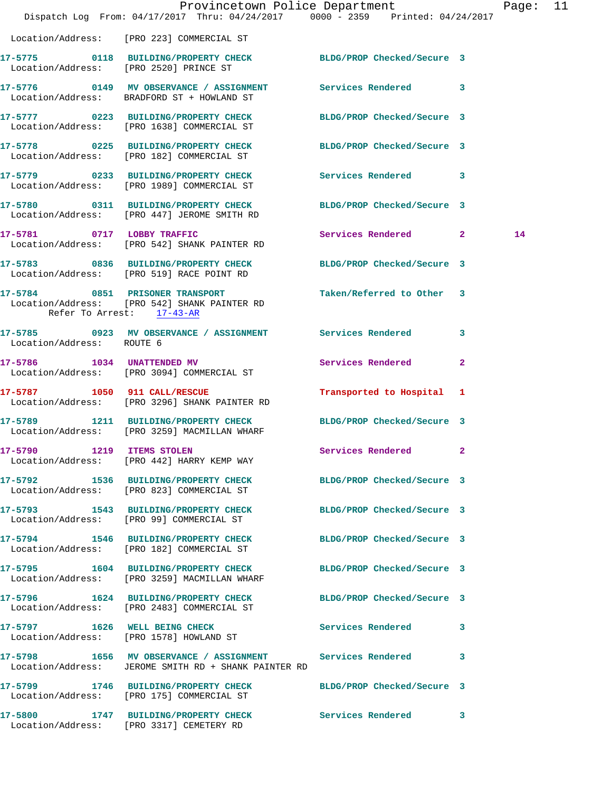|                              | Dispatch Log From: 04/17/2017 Thru: 04/24/2017 0000 - 2359 Printed: 04/24/2017                                      | Provincetown Police Department Page: 11 |    |  |
|------------------------------|---------------------------------------------------------------------------------------------------------------------|-----------------------------------------|----|--|
|                              | Location/Address: [PRO 223] COMMERCIAL ST                                                                           |                                         |    |  |
|                              | 17-5775 0118 BUILDING/PROPERTY CHECK BLDG/PROP Checked/Secure 3<br>Location/Address: [PRO 2520] PRINCE ST           |                                         |    |  |
|                              | 17-5776 0149 MV OBSERVANCE / ASSIGNMENT Services Rendered 3<br>Location/Address: BRADFORD ST + HOWLAND ST           |                                         |    |  |
|                              | 17-5777 0223 BUILDING/PROPERTY CHECK BLDG/PROP Checked/Secure 3<br>Location/Address: [PRO 1638] COMMERCIAL ST       |                                         |    |  |
|                              | 17-5778 0225 BUILDING/PROPERTY CHECK BLDG/PROP Checked/Secure 3<br>Location/Address: [PRO 182] COMMERCIAL ST        |                                         |    |  |
|                              | 17-5779 0233 BUILDING/PROPERTY CHECK Services Rendered 3<br>Location/Address: [PRO 1989] COMMERCIAL ST              |                                         |    |  |
|                              | 17-5780 0311 BUILDING/PROPERTY CHECK BLDG/PROP Checked/Secure 3<br>Location/Address: [PRO 447] JEROME SMITH RD      |                                         |    |  |
| 17-5781 0717 LOBBY TRAFFIC   | Location/Address: [PRO 542] SHANK PAINTER RD                                                                        | Services Rendered 2                     | 14 |  |
|                              | 17-5783 0836 BUILDING/PROPERTY CHECK BLDG/PROP Checked/Secure 3<br>Location/Address: [PRO 519] RACE POINT RD        |                                         |    |  |
| Refer To Arrest: 17-43-AR    | 17-5784 0851 PRISONER TRANSPORT<br>Location/Address: [PRO 542] SHANK PAINTER RD                                     | Taken/Referred to Other 3               |    |  |
| Location/Address: ROUTE 6    | 17-5785 0923 MV OBSERVANCE / ASSIGNMENT Services Rendered 3                                                         |                                         |    |  |
|                              | 17-5786 1034 UNATTENDED MV<br>Location/Address: [PRO 3094] COMMERCIAL ST                                            | Services Rendered<br>$\mathbf{2}$       |    |  |
| 17-5787 1050 911 CALL/RESCUE | Location/Address: [PRO 3296] SHANK PAINTER RD                                                                       | Transported to Hospital 1               |    |  |
|                              | 17-5789 1211 BUILDING/PROPERTY CHECK BLDG/PROP Checked/Secure 3<br>Location/Address: [PRO 3259] MACMILLAN WHARF     |                                         |    |  |
|                              | 17-5790 1219 ITEMS STOLEN<br>Location/Address: [PRO 442] HARRY KEMP WAY                                             | Services Rendered 2                     |    |  |
|                              | 17-5792 1536 BUILDING/PROPERTY CHECK BLDG/PROP Checked/Secure 3<br>Location/Address: [PRO 823] COMMERCIAL ST        |                                         |    |  |
|                              | 17-5793 1543 BUILDING/PROPERTY CHECK<br>Location/Address: [PRO 99] COMMERCIAL ST                                    | BLDG/PROP Checked/Secure 3              |    |  |
|                              | 17-5794 1546 BUILDING/PROPERTY CHECK BLDG/PROP Checked/Secure 3<br>Location/Address: [PRO 182] COMMERCIAL ST        |                                         |    |  |
|                              | 17-5795 1604 BUILDING/PROPERTY CHECK<br>Location/Address: [PRO 3259] MACMILLAN WHARF                                | BLDG/PROP Checked/Secure 3              |    |  |
|                              | 17-5796 1624 BUILDING/PROPERTY CHECK BLDG/PROP Checked/Secure 3<br>Location/Address: [PRO 2483] COMMERCIAL ST       |                                         |    |  |
|                              | 17-5797 1626 WELL BEING CHECK<br>Location/Address: [PRO 1578] HOWLAND ST                                            | Services Rendered 3                     |    |  |
|                              | 17-5798 1656 MV OBSERVANCE / ASSIGNMENT Services Rendered 3<br>Location/Address: JEROME SMITH RD + SHANK PAINTER RD |                                         |    |  |
|                              | 17-5799 1746 BUILDING/PROPERTY CHECK BLDG/PROP Checked/Secure 3<br>Location/Address: [PRO 175] COMMERCIAL ST        |                                         |    |  |
|                              | 17-5800 1747 BUILDING/PROPERTY CHECK Services Rendered 3<br>Location/Address: [PRO 3317] CEMETERY RD                |                                         |    |  |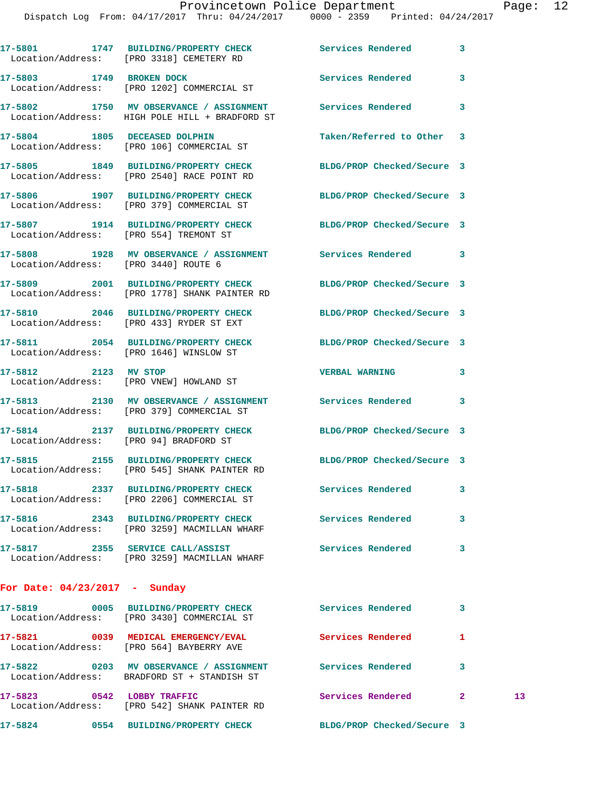Dispatch Log From: 04/17/2017 Thru: 04/24/2017 0000 - 2359 Printed: 04/24/2017

|                                 | 17-5801 1747 BUILDING/PROPERTY CHECK Services Rendered<br>Location/Address: [PRO 3318] CEMETERY RD               |                            | 3              |    |
|---------------------------------|------------------------------------------------------------------------------------------------------------------|----------------------------|----------------|----|
|                                 | 17-5803 1749 BROKEN DOCK<br>Location/Address: [PRO 1202] COMMERCIAL ST                                           | <b>Services Rendered</b>   | 3              |    |
|                                 | 17-5802 1750 MV OBSERVANCE / ASSIGNMENT Services Rendered<br>Location/Address: HIGH POLE HILL + BRADFORD ST      |                            | 3              |    |
|                                 | 17-5804 1805 DECEASED DOLPHIN<br>Location/Address: [PRO 106] COMMERCIAL ST                                       | Taken/Referred to Other 3  |                |    |
|                                 | 17-5805 1849 BUILDING/PROPERTY CHECK<br>Location/Address: [PRO 2540] RACE POINT RD                               | BLDG/PROP Checked/Secure 3 |                |    |
|                                 | 17-5806 1907 BUILDING/PROPERTY CHECK<br>Location/Address: [PRO 379] COMMERCIAL ST                                | BLDG/PROP Checked/Secure 3 |                |    |
|                                 | 17-5807 1914 BUILDING/PROPERTY CHECK BLDG/PROP Checked/Secure 3<br>Location/Address: [PRO 554] TREMONT ST        |                            |                |    |
|                                 | 17-5808 1928 MV OBSERVANCE / ASSIGNMENT Services Rendered 3<br>Location/Address: [PRO 3440] ROUTE 6              |                            |                |    |
|                                 | 17-5809 2001 BUILDING/PROPERTY CHECK BLDG/PROP Checked/Secure 3<br>Location/Address: [PRO 1778] SHANK PAINTER RD |                            |                |    |
|                                 | 17-5810 2046 BUILDING/PROPERTY CHECK BLDG/PROP Checked/Secure 3<br>Location/Address: [PRO 433] RYDER ST EXT      |                            |                |    |
|                                 | 17-5811 2054 BUILDING/PROPERTY CHECK<br>Location/Address: [PRO 1646] WINSLOW ST                                  | BLDG/PROP Checked/Secure 3 |                |    |
| 17-5812 2123 MV STOP            | Location/Address: [PRO VNEW] HOWLAND ST                                                                          | <b>VERBAL WARNING</b>      | 3              |    |
|                                 | 17-5813 2130 MV OBSERVANCE / ASSIGNMENT Services Rendered<br>Location/Address: [PRO 379] COMMERCIAL ST           |                            | 3              |    |
|                                 | 17-5814 2137 BUILDING/PROPERTY CHECK<br>Location/Address: [PRO 94] BRADFORD ST                                   | BLDG/PROP Checked/Secure 3 |                |    |
|                                 | 17-5815 2155 BUILDING/PROPERTY CHECK BLDG/PROP Checked/Secure 3<br>Location/Address: [PRO 545] SHANK PAINTER RD  |                            |                |    |
|                                 | 17-5818 2337 BUILDING/PROPERTY CHECK Services Rendered<br>Location/Address: [PRO 2206] COMMERCIAL ST             |                            | 3              |    |
|                                 | 17-5816 2343 BUILDING/PROPERTY CHECK Services Rendered<br>Location/Address: [PRO 3259] MACMILLAN WHARF           |                            | 3              |    |
|                                 | 17-5817 2355 SERVICE CALL/ASSIST Services Rendered<br>Location/Address: [PRO 3259] MACMILLAN WHARF               |                            | 3              |    |
| For Date: $04/23/2017$ - Sunday |                                                                                                                  |                            |                |    |
|                                 | 17-5819 		 0005 BUILDING/PROPERTY CHECK Services Rendered<br>Location/Address: [PRO 3430] COMMERCIAL ST          |                            | 3              |    |
|                                 | 17-5821 0039 MEDICAL EMERGENCY/EVAL Services Rendered<br>Location/Address: [PRO 564] BAYBERRY AVE                |                            | 1              |    |
|                                 | 17-5822 0203 MV OBSERVANCE / ASSIGNMENT Services Rendered<br>Location/Address: BRADFORD ST + STANDISH ST         |                            | 3              |    |
|                                 | 17-5823 0542 LOBBY TRAFFIC<br>Location/Address: [PRO 542] SHANK PAINTER RD                                       | Services Rendered          | $\overline{2}$ | 13 |
|                                 | 17-5824 0554 BUILDING/PROPERTY CHECK                                                                             | BLDG/PROP Checked/Secure 3 |                |    |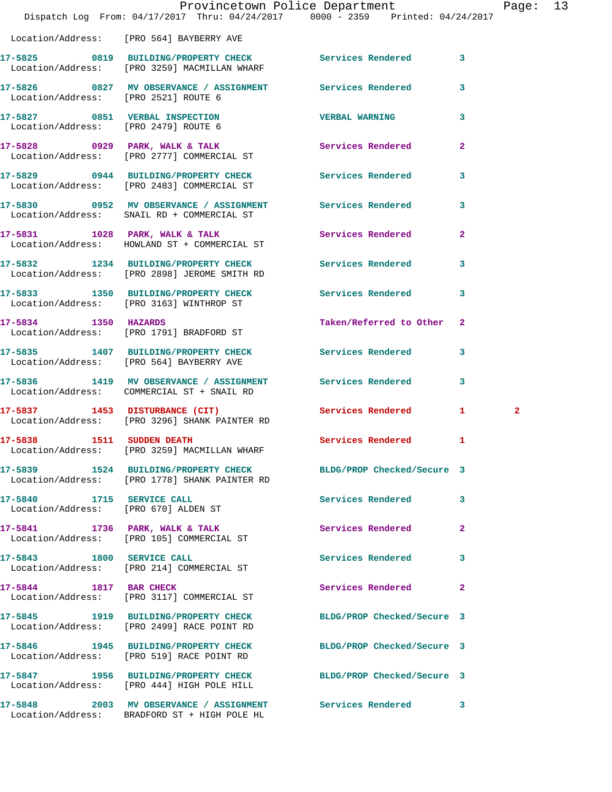|                                      | Provincetown Police Department<br>Dispatch Log From: 04/17/2017 Thru: 04/24/2017 0000 - 2359 Printed: 04/24/2017 |                            |                | Page: 13 |
|--------------------------------------|------------------------------------------------------------------------------------------------------------------|----------------------------|----------------|----------|
|                                      | Location/Address: [PRO 564] BAYBERRY AVE                                                                         |                            |                |          |
|                                      | 17-5825 0819 BUILDING/PROPERTY CHECK Services Rendered 3<br>Location/Address: [PRO 3259] MACMILLAN WHARF         |                            |                |          |
| Location/Address: [PRO 2521] ROUTE 6 | 17-5826 0827 MV OBSERVANCE / ASSIGNMENT Services Rendered 3                                                      |                            |                |          |
| Location/Address: [PRO 2479] ROUTE 6 | 17-5827 0851 VERBAL INSPECTION                                                                                   | <b>VERBAL WARNING</b>      | 3              |          |
|                                      | 17-5828 0929 PARK, WALK & TALK<br>Location/Address: [PRO 2777] COMMERCIAL ST                                     | Services Rendered 2        |                |          |
|                                      | 17-5829 0944 BUILDING/PROPERTY CHECK Services Rendered<br>Location/Address: [PRO 2483] COMMERCIAL ST             |                            | 3              |          |
|                                      | 17-5830 0952 MV OBSERVANCE / ASSIGNMENT Services Rendered 3<br>Location/Address: SNAIL RD + COMMERCIAL ST        |                            |                |          |
|                                      | 17-5831 1028 PARK, WALK & TALK 1999 Services Rendered<br>Location/Address: HOWLAND ST + COMMERCIAL ST            |                            | $\mathbf{2}$   |          |
|                                      | 17-5832 1234 BUILDING/PROPERTY CHECK Services Rendered 3<br>Location/Address: [PRO 2898] JEROME SMITH RD         |                            |                |          |
|                                      | 17-5833 1350 BUILDING/PROPERTY CHECK Services Rendered 3<br>Location/Address: [PRO 3163] WINTHROP ST             |                            |                |          |
|                                      | 17-5834 1350 HAZARDS<br>Location/Address: [PRO 1791] BRADFORD ST                                                 | Taken/Referred to Other 2  |                |          |
|                                      | 17-5835 1407 BUILDING/PROPERTY CHECK Services Rendered 3<br>Location/Address: [PRO 564] BAYBERRY AVE             |                            |                |          |
|                                      | 17-5836 1419 MV OBSERVANCE / ASSIGNMENT Services Rendered<br>Location/Address: COMMERCIAL ST + SNAIL RD          |                            | 3              |          |
|                                      | 17-5837 1453 DISTURBANCE (CIT)<br>Location/Address: [PRO 3296] SHANK PAINTER RD                                  | Services Rendered 1        | $\overline{2}$ |          |
|                                      | 17-5838 1511 SUDDEN DEATH SALL SERVICES Rendered 1<br>Location/Address: [PRO 3259] MACMILLAN WHARF               |                            |                |          |
|                                      | 17-5839 1524 BUILDING/PROPERTY CHECK BLDG/PROP Checked/Secure 3<br>Location/Address: [PRO 1778] SHANK PAINTER RD |                            |                |          |
| 17-5840 1715 SERVICE CALL            | Location/Address: [PRO 670] ALDEN ST                                                                             | Services Rendered 3        |                |          |
|                                      | 17-5841 1736 PARK, WALK & TALK<br>Location/Address: [PRO 105] COMMERCIAL ST                                      | Services Rendered          | -2             |          |
| 17-5843 1800 SERVICE CALL            | Location/Address: [PRO 214] COMMERCIAL ST                                                                        | Services Rendered          | 3              |          |
|                                      | 17-5844 1817 BAR CHECK<br>Location/Address: [PRO 3117] COMMERCIAL ST                                             | Services Rendered          | 2              |          |
|                                      | 17-5845 1919 BUILDING/PROPERTY CHECK BLDG/PROP Checked/Secure 3<br>Location/Address: [PRO 2499] RACE POINT RD    |                            |                |          |
|                                      | 17-5846 1945 BUILDING/PROPERTY CHECK<br>Location/Address: [PRO 519] RACE POINT RD                                | BLDG/PROP Checked/Secure 3 |                |          |
|                                      | 17-5847 1956 BUILDING/PROPERTY CHECK BLDG/PROP Checked/Secure 3<br>Location/Address: [PRO 444] HIGH POLE HILL    |                            |                |          |
|                                      | 17-5848 2003 MV OBSERVANCE / ASSIGNMENT Services Rendered 3                                                      |                            |                |          |

Location/Address: BRADFORD ST + HIGH POLE HL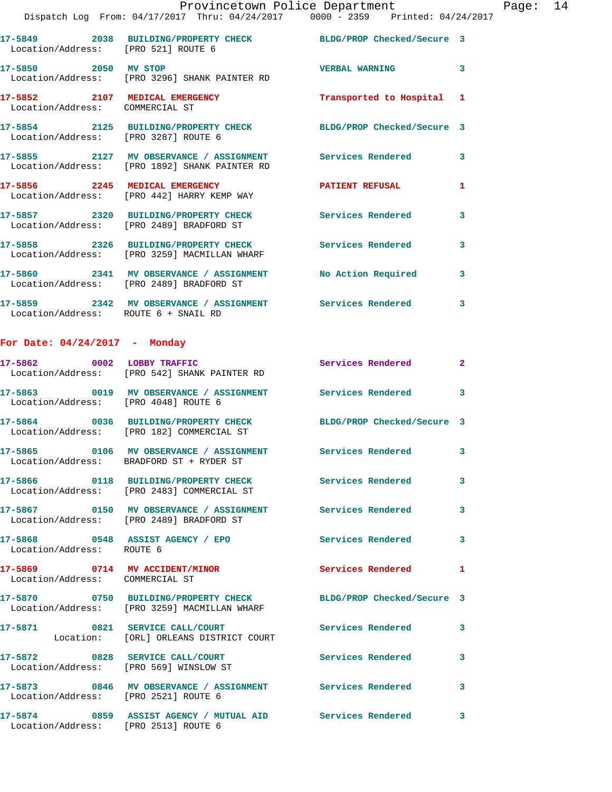| Provincetown Police Department | 14<br>Paqe: |
|--------------------------------|-------------|
|--------------------------------|-------------|

Dispatch Log From: 04/17/2017 Thru: 04/24/2017 0000 - 2359 Printed: 04/24/2017

|                                      | <u>DISPACCH HOG FIOM, 01/17/4017 IHIN, 01/41/4017        0000 - 4339     FIIHCCU, 01/41/</u> |                            |   |
|--------------------------------------|----------------------------------------------------------------------------------------------|----------------------------|---|
| Location/Address: [PRO 521] ROUTE 6  | 17-5849 2038 BUILDING/PROPERTY CHECK                                                         | BLDG/PROP Checked/Secure 3 |   |
| 2050<br>17-5850<br>Location/Address: | MV STOP<br>[PRO 3296] SHANK PAINTER RD                                                       | <b>VERBAL WARNING</b>      | 3 |
| 2107<br>17–5852<br>Location/Address: | MEDICAL EMERGENCY<br>COMMERCIAL ST                                                           | Transported to Hospital 1  |   |
| 17-5854<br>Location/Address:         | 2125 BUILDING/PROPERTY CHECK<br>FPRO 32871 ROUTE 6                                           | BLDG/PROP Checked/Secure 3 |   |
| 2127<br>17-5855<br>Location/Address: | MV OBSERVANCE / ASSIGNMENT<br>[PRO 1892] SHANK PAINTER RD                                    | Services Rendered          | 3 |
| 17-5856<br>2245<br>Location/Address: | MEDICAL EMERGENCY<br>[PRO 442] HARRY KEMP WAY                                                | <b>PATIENT REFUSAL</b>     | 1 |

**17-5857 2320 BUILDING/PROPERTY CHECK Services Rendered 3**  Location/Address: [PRO 2489] BRADFORD ST **17-5858 2326 BUILDING/PROPERTY CHECK Services Rendered 3**  Location/Address: [PRO 3259] MACMILLAN WHARF **17-5860 2341 MV OBSERVANCE / ASSIGNMENT No Action Required 3**  Location/Address: [PRO 2489] BRADFORD ST **17-5859 2342 MV OBSERVANCE / ASSIGNMENT Services Rendered 3** 

Location/Address: ROUTE 6 + SNAIL RD

## **For Date: 04/24/2017 - Monday**

|                                        | 17-5862 0002 LOBBY TRAFFIC<br>Location/Address: [PRO 542] SHANK PAINTER RD                                      | Services Rendered 2      |              |
|----------------------------------------|-----------------------------------------------------------------------------------------------------------------|--------------------------|--------------|
| Location/Address: [PRO 4048] ROUTE 6   | 17-5863 0019 MV OBSERVANCE / ASSIGNMENT Services Rendered 3                                                     |                          |              |
|                                        | 17-5864 0036 BUILDING/PROPERTY CHECK BLDG/PROP Checked/Secure 3<br>Location/Address: [PRO 182] COMMERCIAL ST    |                          |              |
|                                        | 17-5865 0106 MV OBSERVANCE / ASSIGNMENT<br>Location/Address: BRADFORD ST + RYDER ST                             | Services Rendered        | $\mathbf{3}$ |
|                                        | 17-5866 0118 BUILDING/PROPERTY CHECK<br>Location/Address: [PRO 2483] COMMERCIAL ST                              | <b>Services Rendered</b> | $\mathbf{3}$ |
|                                        | 17-5867 0150 MV OBSERVANCE / ASSIGNMENT Services Rendered<br>Location/Address: [PRO 2489] BRADFORD ST           |                          | $\mathbf{3}$ |
| Location/Address: ROUTE 6              | 17-5868 0548 ASSIST AGENCY / EPO                                                                                | <b>Services Rendered</b> | 3            |
| Location/Address: COMMERCIAL ST        | 17-5869 0714 MV ACCIDENT/MINOR                                                                                  | <b>Services Rendered</b> | $\mathbf{1}$ |
|                                        | 17-5870 0750 BUILDING/PROPERTY CHECK BLDG/PROP Checked/Secure 3<br>Location/Address: [PRO 3259] MACMILLAN WHARF |                          |              |
|                                        | 17-5871 0821 SERVICE CALL/COURT<br>Location: [ORL] ORLEANS DISTRICT COURT                                       | <b>Services Rendered</b> | $\mathbf{3}$ |
| Location/Address: [PRO 569] WINSLOW ST | 17-5872 0828 SERVICE CALL/COURT                                                                                 | <b>Services Rendered</b> | 3            |
|                                        | 17-5873 0846 MV OBSERVANCE / ASSIGNMENT Services Rendered                                                       |                          | $\mathbf{3}$ |
| Location/Address: [PRO 2521] ROUTE 6   |                                                                                                                 |                          |              |